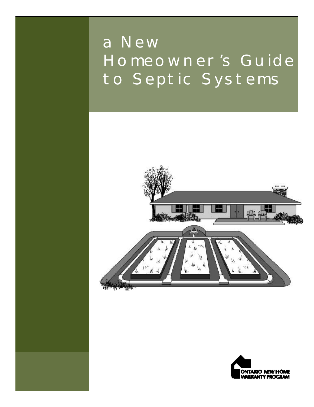### a New Homeowner's Guide to Septic Systems



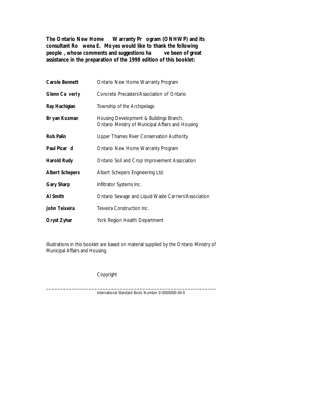**The Ontario New Home Warranty Pr ogram (ONHWP) and its consultant Ro wena E. Moyes would like to thank the following people**, whose comments and suggestions ha **assistance in the preparation of the 1998 edition of this booklet:**

| Carole Bennett         | Ontario New Home Warranty Program                                                            |
|------------------------|----------------------------------------------------------------------------------------------|
| Glenn Ca verly         | Concrete Precasters'Association of Ontario                                                   |
| Ray Hachigian          | Township of the Archipelago                                                                  |
| Br yan Kozman          | Housing Development & Buildings Branch,<br>Ontario Ministry of Municipal Affairs and Housing |
| Rob Palin              | Upper Thames River Conservation Authority                                                    |
| Paul Picar d           | Ontario New Home Warranty Program                                                            |
| Harold Rudy            | Ontario Soil and Crop Improvement Association                                                |
| <b>Albert Schepers</b> | Albert Schepers Engineering Ltd.                                                             |
| Gary Sharp             | Infiltrator Systems Inc.                                                                     |
| Al Smith               | Ontario Sewage and Liquid Waste Carriers'Association                                         |
| John Teixeira          | Teixeira Construction Inc.                                                                   |
| Oryst Zyhar            | York Region Health Department                                                                |

Illustrations in this booklet are based on material supplied by the Ontario Ministry of Municipal Affairs and Housing.

Copyright

\_ \_ \_ \_ \_ \_ \_ \_ \_ \_ \_ \_ \_ \_ \_ \_ \_ \_ \_ \_ \_ \_ \_ \_ \_ \_ \_ \_ \_ \_ \_ \_ \_ \_ \_ \_ \_ \_ \_ \_ \_ \_ \_ \_ \_ \_ \_ \_ \_ \_ \_ \_ \_ \_ \_ \_ \_ \_ \_ \_ International Standard Book Number 0-0000000-00-0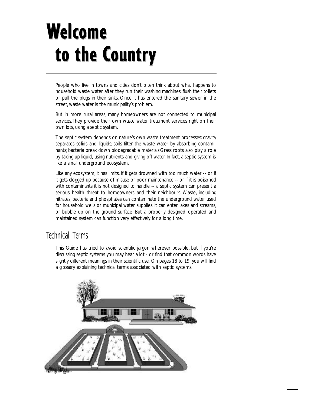## Welcome to the Country

People who live in towns and cities don't often think about what happens to household waste water after they run their washing machines, flush their toilets or pull the plugs in their sinks. Once it has entered the sanitary sewer in the street, waste water is the municipality's problem.

But in more rural areas, many homeowners are not connected to municipal services.They provide their own waste water treatment services right on their own lots, using a septic system.

The septic system depends on nature's own waste treatment processes: gravity separates solids and liquids; soils filter the waste water by absorbing contaminants; bacteria break down biodegradable materials.Grass roots also play a role by taking up liquid, using nutrients and giving off water. In fact, a septic system is like a small underground ecosystem.

Like any ecosystem, it has limits. If it gets drowned with too much water -- or if it gets clogged up because of misuse or poor maintenance -- or if it is poisoned with contaminants it is not designed to handle -- a septic system can present a serious health threat to homeowners and their neighbours. Waste, including nitrates, bacteria and phosphates can contaminate the underground water used for household wells or municipal water supplies. It can enter lakes and streams, or bubble up on the ground surface. But a properly designed, operated and maintained system can function very effectively for a long time.

### Technical Terms

This Guide has tried to avoid scientific jargon wherever possible, but if you're discussing septic systems you may hear a lot - or find that common words have slightly different meanings in their scientific use. On pages 18 to 19, you will find a glossary explaining technical terms associated with septic systems.

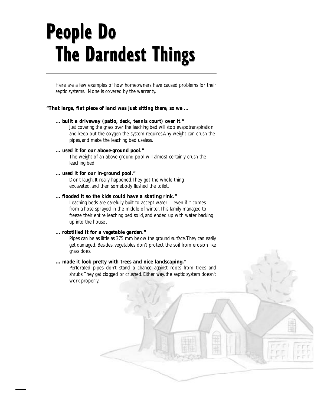## **People Do The Darndest Things**

Here are a few examples of how homeowners have caused problems for their septic systems. None is covered by the warranty.

#### *"That large, flat piece of land was just sitting there, so we ...*

#### *... built a driveway (patio, deck, tennis court) over it."*

Just covering the grass over the leaching bed will stop evapotranspiration and keep out the oxygen the system requires.Any weight can crush the pipes, and make the leaching bed useless.

#### *... used it for our above-ground pool."*

The weight of an above-ground pool will almost certainly crush the leaching bed.

#### *... used it for our in-ground pool."*

Don't laugh. It really happened.They got the whole thing excavated, and then somebody flushed the toilet.

#### *... flooded it so the kids could have a skating rink."*

Leaching beds are carefully built to accept water -- even if it comes from a hose spr ayed in the middle of winter.This family managed to freeze their entire leaching bed solid, and ended up with water backing up into the house .

#### *... rototilled it for a vegetable garden."*

Pipes can be as little as 375 mm below the ground surface.They can easily get damaged. Besides, vegetables don't protect the soil from erosion like grass does.

#### *... made it look pretty with trees and nice landscaping."*

Perforated pipes don't stand a chance against roots from trees and shrubs. They get clogged or crushed. Either way, the septic system doesn't work properly.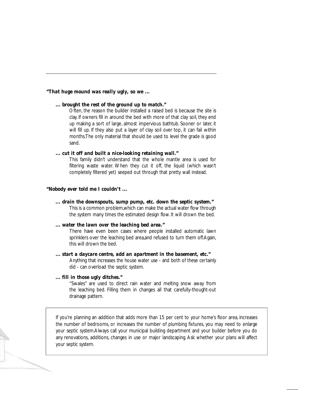#### *"That huge mound was really ugly, so we ...*

#### *... brought the rest of the ground up to match."*

Often, the reason the builder installed a raised bed is because the site is clay. If owners fill in around the bed with more of that clay soil, they end up making a sort of large, almost impervious bathtub. Sooner or later, it will fill up. If they also put a layer of clay soil over top, it can fail within months.The only material that should be used to level the grade is good sand.

#### *... cut it off and built a nice-looking retaining wall."*

This family didn't understand that the whole mantle area is used for filtering waste water. When they cut it off, the liquid (which wasn't completely filtered yet) seeped out through that pretty wall instead.

#### *"Nobody ever told me I couldn't ...*

*... drain the downspouts, sump pump, etc. down the septic system."*

This is a common problem,which can make the actual water flow through the system many times the estimated design flow. It will drown the bed.

#### *... water the lawn over the leaching bed area."*

There have even been cases where people installed automatic lawn sprinklers over the leaching bed area,and refused to turn them off.Again, this will drown the bed.

#### *... start a daycare centre, add an apartment in the basement, etc."*

Anything that increases the house water use - and both of these certainly did - can overload the septic system.

#### *... fill in those ugly ditches."*

"Swales" are used to direct rain water and melting snow away from the leaching bed. Filling them in changes all that carefully-thought-out drainage pattern.

If you're planning an addition that adds more than 15 per cent to your home's floor area, increases the number of bedrooms, or increases the number of plumbing fixtures, you may need to enlarge your septic system.Always call your municipal building department and your builder before you do any renovations, additions, changes in use or major landscaping. Ask whether your plans will affect your septic system.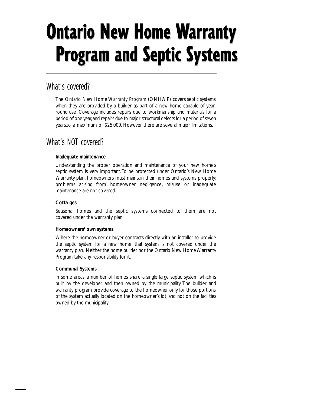## **Ontario New Home Warranty Program and Septic Systems**

### What's covered?

The Ontario New Home Warranty Program (ONHWP) covers septic systems when they are provided by a builder as part of a new home capable of yearround use. Coverage includes repairs due to workmanship and materials for a period of one year, and repairs due to major structural defects for a period of seven years,to a maximum of \$25,000. However, there are several major limitations.

### What's NOT covered?

#### **Inadequate maintenance**

Understanding the proper operation and maintenance of your new home's septic system is very important. To be protected under Ontario's New Home Warranty plan, homeowners must maintain their homes and systems properly; problems arising from homeowner negligence, misuse or inadequate maintenance are not covered.

#### **Cotta ges**

Seasonal homes and the septic systems connected to them are not covered under the warranty plan.

#### **Homeowners' own systems**

Where the homeowner or buyer contracts directly with an installer to provide the septic system for a new home, that system is not covered under the warranty plan. Neither the home builder nor the Ontario New Home Warranty Program take any responsibility for it.

#### **Communal Systems**

In some areas, a number of homes share a single large septic system which is built by the developer and then owned by the municipality. The builder and warranty program provide coverage to the homeowner only for those portions of the system actually located on the homeowner's lot, and not on the facilities owned by the municipality.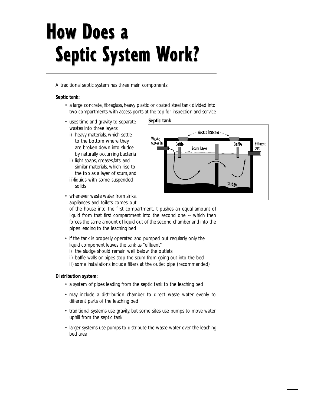## **How Does a Septic System Work?**

A traditional septic system has three main components:

#### **Septic tank:**

- a large concrete, fibreglass, heavy plastic or coated steel tank divided into two compartments, with access ports at the top for inspection and service
- uses time and gr avity to separate wastes into three layers:
	- i) heavy materials, which settle to the bottom where they are broken down into sludge by naturally occurring bacteria
	- ii) light soaps, greases,fats and similar materials, which rise to the top as a layer of scum, and
	- iii)liquids with some suspended solids
- whenever waste water from sinks, appliances and toilets comes out





of the house into the first compartment, it pushes an equal amount of liquid from that first compartment into the second one -- which then forces the same amount of liquid out of the second chamber and into the pipes leading to the leaching bed

- if the tank is properly operated and pumped out regularly, only the liquid component leaves the tank as "effluent"
	- i) the sludge should remain well below the outlets
	- ii) baffle walls or pipes stop the scum from going out into the bed
- iii) some installations include filters at the outlet pipe (recommended)

#### **Distribution system:**

- a system of pipes leading from the septic tank to the leaching bed
- may include a distribution chamber to direct waste water evenly to different parts of the leaching bed
- traditional systems use gravity, but some sites use pumps to move water uphill from the septic tank
- larger systems use pumps to distribute the waste water over the leaching bed area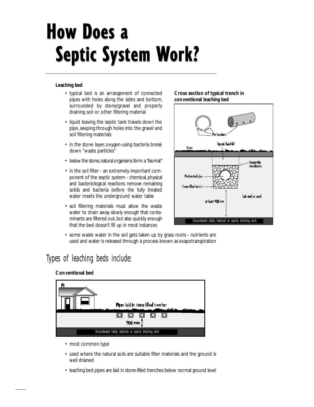## **How Does a Septic System Work?**

#### **Leaching bed**

- typical bed is an arrangement of connected pipes with holes along the sides and bottom, surrounded by stone/gravel and properly draining soil or other filtering material
- liquid leaving the septic tank travels down the pipe,seeping through holes into the gravel and soil filtering materials
- in the stone layer, oxygen-using bacteria break down "waste particles"
- below the stone, natural organisms form a "biomat"
- in the soil filter an extremely important component of the septic system - chemical, physical and bacteriological reactions remove remaining solids and bacteria before the fully treated water meets the underground water table
- soil filtering materials must allow the waste water to drain away slowly enough that contaminants are filtered out, but also quickly enough that the bed doesn't fill up in most instances

#### **Cross section of typical trench in con ventional leaching bed**



• some waste water in the soil gets taken up by grass roots - nutrients are used and water is released through a process known as evapotran spiration

### Types of leaching beds include:

#### **Con ventional bed**



- most common type
- used where the natural soils are suitable filter materials and the ground is well drained
- leaching bed pipes are laid in stone-filled trenches below normal ground level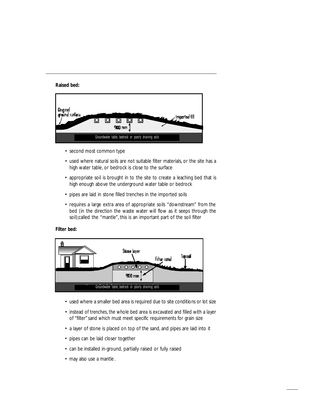**Raised bed:**



- second most common type
- used where natural soils are not suitable filter materials, or the site has a high water table, or bedrock is close to the surface
- appropriate soil is brought in to the site to create a leaching bed that is high enough above the underground water table or bedrock
- pipes are laid in stone filled trenches in the imported soils
- requires a large extra area of appropriate soils "downstream" from the bed (in the direction the waste water will flow as it seeps through the soil);called the "mantle", this is an important part of the soil filter

#### **Filter bed:**



- used where a smaller bed area is required due to site conditions or lot size
- instead of trenches, the whole bed area is excavated and filled with a layer of "filter"sand which must meet specific requirements for grain size
- a layer of stone is placed on top of the sand, and pipes are laid into it
- pipes can be laid closer together
- can be installed in-ground, partially raised or fully raised
- may also use a mantle.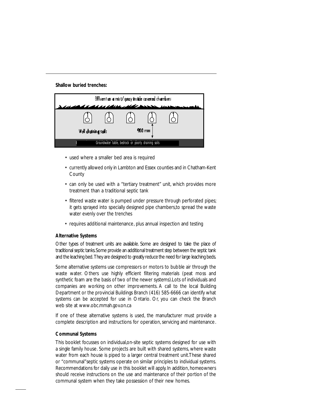**Shallow buried trenches:**

| Effluent as a mist/spray inside covered chambers |                                                     |  |        |  |  |
|--------------------------------------------------|-----------------------------------------------------|--|--------|--|--|
|                                                  | 1221Arra 2440                                       |  |        |  |  |
|                                                  |                                                     |  | 900 mm |  |  |
| Well draining sails                              |                                                     |  |        |  |  |
|                                                  | Groundwater table, bedrock or poorly draining soils |  |        |  |  |

- used where a smaller bed area is required
- currently allowed only in Lambton and Essex counties and in Chatham-Kent **County**
- can only be used with a "tertiary treatment" unit, which provides more treatment than a traditional septic tank
- filtered waste water is pumped under pressure through perforated pipes; it gets sprayed into specially designed pipe chambers,to spread the waste water evenly over the trenches
- requires additional maintenance, plus annual inspection and testing

#### **Alternative Systems**

Other types of treatment units are available. Some are designed to take the place of traditional septic tanks. Some provide an additional treatment step between the septic tank and the leaching bed. They are designed to greatly reduce the need for large leaching beds.

Some alternative systems use compressors or motors to bubble air through the waste water. Others use highly efficient filtering materials (peat moss and synthetic foam are the basis of two of the newer systems).Lots of individuals and companies are working on other improvements. A call to the local Building Department or the provincial Buildings Branch (416) 585-6666 can identify what systems can be accepted for use in Ontario. Or, you can check the Branch web site at www.obc.mmah.gov.on.ca

If one of these alternative systems is used, the manufacturer must provide a complete description and instructions for operation, servicing and maintenance.

#### **Communal Systems**

This booklet focusses on individual,on-site septic systems designed for use with a single family house. Some projects are built with shared systems, where waste water from each house is piped to a larger central treatment unit.These shared or "communal"septic systems operate on similar principles to individual systems. Recommendations for daily use in this booklet will apply. In addition, homeowners should receive instructions on the use and maintenance of their portion of the communal system when they take possession of their new homes.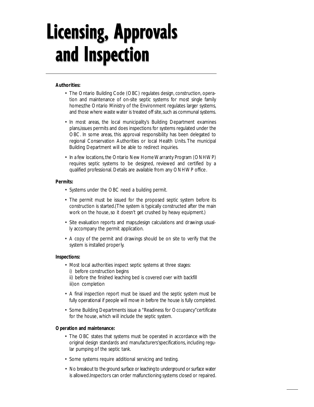### **Licensing, Approvals** and Inspection

#### **Authorities:**

- The Ontario Building Code (OBC) regulates design, construction, operation and maintenance of on-site septic systems for most single family homes;the Ontario Ministry of the Environment regulates larger systems, and those where waste water is treated off site, such as communal systems.
- In most areas, the local municipality's Building Department examines plans,issues permits and does inspections for systems regulated under the OBC. In some areas, this approval responsibility has been delegated to regional Conservation Authorities or local Health Units. The municipal Building Department will be able to redirect inquiries.
- In a few locations, the Ontario New Home Warranty Program (ONHWP) requires septic systems to be designed, reviewed and certified by a qualified professional. Details are available from any ONHWP office.

#### **Permits:**

- Systems under the OBC need a building permit.
- The permit must be issued for the proposed septic system before its construction is started.(The system is typically constructed after the main work on the house, so it doesn't get crushed by heavy equipment.)
- Site evaluation reports and maps,design calculations and drawings usually accompany the permit application.
- A copy of the permit and drawings should be on site to verify that the system is installed properly.

#### **Inspections:**

- Most local authorities inspect septic systems at three stages:
	- i) before construction begins

ii) before the finished leaching bed is covered over with backfill iii)on completion

- A final inspection report must be issued and the septic system must be fully operational if people will move in before the house is fully completed.
- Some Building Departments issue a "Readiness for Occupancy"certificate for the house, which will include the septic system.

#### **Operation and maintenance:**

- The OBC states that systems must be operated in accordance with the original design standards and manufacturers'specifications, including regular pumping of the septic tank.
- Some systems require additional servicing and testing.
- No breakout to the ground surface or leaching to underground or surface water is allowed .Inspectors can order malfunctioning systems closed or repaired.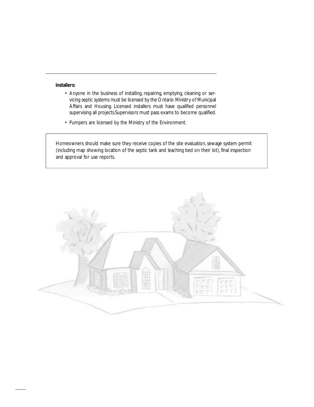#### **Installers:**

- Anyone in the business of installing, repairing, emptying, cleaning or servicing septic systems must be licensed by the Ontario Ministry of Municipal Affairs and Housing. Licensed installers must have qualified personnel supervising all projects.Supervisors must pass exams to become qualified.
- Pumpers are licensed by the Ministry of the Environment.

Homeowners should make sure they receive copies of the site evaluation, sewage system permit (including map showing location of the septic tank and leaching bed on their lot), final inspection and approval for use reports.

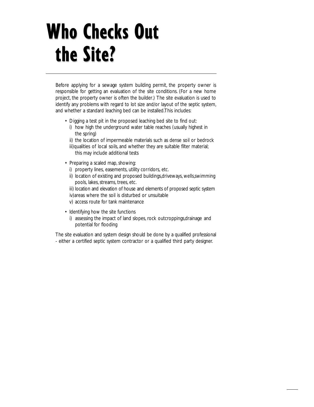## Who Checks Out the Site?

Before applying for a sewage system building permit, the property owner is responsible for getting an evaluation of the site conditions. (For a new home project, the property owner is often the builder.) The site evaluation is used to identify any problems with regard to lot size and/or layout of the septic system, and whether a standard leaching bed can be installed.This includes:

- Digging a test pit in the proposed leaching bed site to find out:
	- i) how high the underground water table reaches (usually highest in the spring)
	- ii) the location of impermeable materials such as dense soil or bedrock
	- iii)qualities of local soils, and whether they are suitable filter material; this may include additional tests
- Preparing a scaled map, showing:
	- i) property lines, easements, utility corridors, etc.
	- ii) location of existing and proposed buildings,driveways, wells, swimming pools, lakes, streams, trees, etc.
	- iii) location and elevation of house and elements of proposed septic system iv)areas where the soil is disturbed or unsuitable
	- v) access route for tank maintenance
- Identifying how the site functions
	- i) assessing the impact of land slopes, rock outcroppings,drainage and potential for flooding

The site evaluation and system design should be done by a qualified professional - either a certified septic system contractor or a qualified third party designer.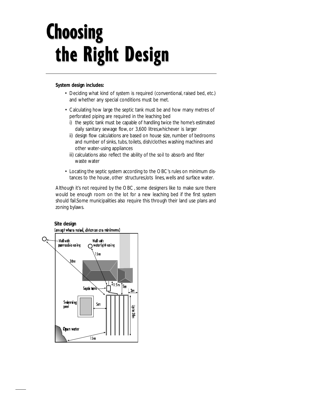## **Choosing** the Right Design

#### **System design includes:**

- Deciding what kind of system is required (conventional, raised bed, etc.) and whether any special conditions must be met.
- Calculating how large the septic tank must be and how many metres of perforated piping are required in the leaching bed
	- i) the septic tank must be capable of handling twice the home's estimated daily sanitary sewage flow, or 3,600 litres,whichever is larger
	- ii) design flow calculations are based on house size, number of bedrooms and number of sinks, tubs, toilets, dish/clothes washing machines and other water-using appliances
	- iii) calculations also reflect the ability of the soil to absorb and filter waste water
- Locating the septic system according to the OBC's rules on minimum distances to the house, other structures,lots lines, wells and surface water.

Although it's not required by the OBC, some designers like to make sure there would be enough room on the lot for a new leaching bed if the first system should fail.Some municipalities also require this through their land use plans and zoning bylaws.

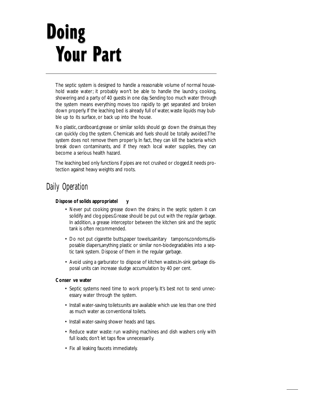## **Doing Your Part**

The septic system is designed to handle a reasonable volume of normal household waste water; it probably won't be able to handle the laundry, cooking, showering and a party of 40 guests in one day. Sending too much water through the system means everything moves too rapidly to get separated and broken down properly. If the leaching bed is already full of water, waste liquids may bubble up to its surface, or back up into the house.

No plastic, cardboard,grease or similar solids should go down the drains,as they can quickly clog the system. Chemicals and fuels should be totally avoided.The system does not remove them properly. In fact, they can kill the bacteria which break down contaminants, and if they reach local water supplies, they can become a serious health hazard.

The leaching bed only functions if pipes are not crushed or clogged.It needs protection against heavy weights and roots.

### Daily Operation

#### **Dispose of solids appropriatel y**

- Never put cooking grease down the drains; in the septic system it can solidify and clog pipes.Grease should be put out with the regular garbage. In addition, a grease interceptor between the kitchen sink and the septic tank is often recommended.
- Do not put cigarette butts, paper towels, sanitary tampons, condoms, disposable diapers,anything plastic or similar non-biodegradables into a septic tank system. Dispose of them in the regular garbage.
- Avoid using a garburator to dispose of kitchen wastes.In-sink garbage disposal units can increase sludge accumulation by 40 per cent.

#### **Conser ve water**

- Septic systems need time to work properly. It's best not to send unnecessary water through the system.
- Install water-saving toilets:units are available which use less than one third as much water as conventional toilets.
- Install water-saving shower heads and taps.
- Reduce water waste: run washing machines and dish washers only with full loads; don't let taps flow unnecessarily.
- Fix all leaking faucets immediately.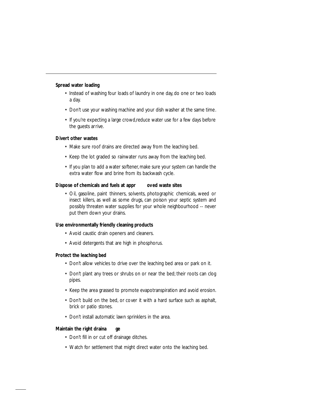#### **Spread water loading**

- Instead of washing four loads of laundry in one day, do one or two loads a day.
- Don't use your washing machine and your dish washer at the same time.
- If you're expecting a large crowd,reduce water use for a few days before the guests arrive.

#### **Divert other wastes**

- Make sure roof drains are directed away from the leaching bed.
- Keep the lot graded so rainwater runs away from the leaching bed.
- If you plan to add a water softener, make sure your system can handle the extra water flow and brine from its backwash cycle.

#### **Dispose of chemicals and fuels at appr oved waste sites**

• Oil, gasoline, paint thinners, solvents, photographic chemicals, weed or insect killers, as well as some drugs, can poison your septic system and possibly threaten water supplies for your whole neighbourhood -- never put them down your drains.

#### **Use environmentally friendly cleaning products**

- Avoid caustic drain openers and cleaners.
- Avoid detergents that are high in phosphorus.

#### **Protect the leaching bed**

- Don't allow vehicles to drive over the leaching bed area or park on it.
- Don't plant any trees or shrubs on or near the bed; their roots can clog pipes.
- Keep the area grassed to promote evapotranspiration and avoid erosion.
- Don't build on the bed, or cover it with a hard surface such as asphalt, brick or patio stones.
- Don't install automatic lawn sprinklers in the area.

#### **Maintain the right draina ge**

- Don't fill in or cut off drainage ditches.
- Watch for settlement that might direct water onto the leaching bed.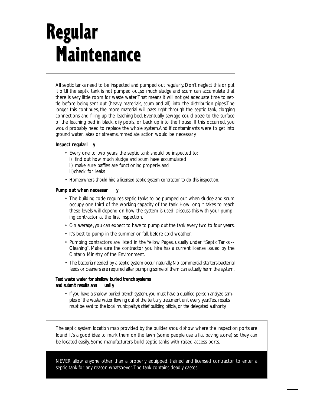### **Regular Maintenance**

All septic tanks need to be inspected and pumped out regularly. Don't neglect this or put it off.If the septic tank is not pumped out,so much sludge and scum can accumulate that there is very little room for waste water.That means it will not get adequate time to settle before being sent out (heavy materials, scum and all) into the distribution pipes.The longer this continues, the more material will pass right through the septic tank, clogging connections and filling up the leaching bed. Eventually, sewage could ooze to the surface of the leaching bed in black, oily pools, or back up into the house. If this occurred, you would probably need to replace the whole system.And if contaminants were to get into ground water, lakes or streams,immediate action would be necessar y.

#### **Inspect regularl y**

- Every one to two years, the septic tank should be inspected to:
	- i) find out how much sludge and scum have accumulated
	- ii) make sure baffles are functioning properly, and iii)check for leaks
- Homeowners should hire a licensed septic system contractor to do this inspection.

#### **Pump out when necessar y**

- The building code requires septic tanks to be pumped out when sludge and scum occupy one third of the working capacity of the tank. How long it takes to reach these levels will depend on how the system is used. Discuss this with your pumping contractor at the first inspection.
- On average, you can expect to have to pump out the tank every two to four years.
- It's best to pump in the summer or fall, before cold weather.
- Pumping contractors are listed in the Yellow Pages, usually under "Septic Tanks -- Cleaning". Make sure the contractor you hire has a current license issued by the Ontario Ministry of the Environment.
- The bacteria needed by a septic system occur naturally. No commercial starters, bacterial feeds or cleaners are required after pumping;some of them can actually harm the system.

#### **Test waste water for shallow buried trench systems**  and submit results ann **uall** y

• If you have a shallow buried trench system, you must have a qualified person analyze samples of the waste water flowing out of the tertiary treatment unit every year. Test results must be sent to the local municipality's chief building official, or the delegated authority.

The septic system location map provided by the builder should show where the inspection ports are found. It's a good idea to mark them on the lawn (some people use a flat paving stone) so they can be located easily. Some manufacturers build septic tanks with raised access ports.

NEVER allow anyone other than a properly equipped, trained and licensed contractor to enter a septic tank for any reason whatsoever.The tank contains deadly gasses.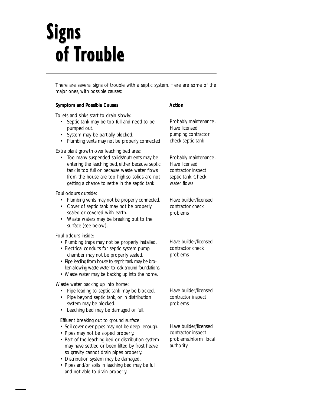## **Signs** of Trouble

There are several signs of trouble with a septic system. Here are some of the major ones, with possible causes:

| Symptom and Possible Causes                                                                                                                                                                                                                                                                                                      | Action                                                                                            |  |  |
|----------------------------------------------------------------------------------------------------------------------------------------------------------------------------------------------------------------------------------------------------------------------------------------------------------------------------------|---------------------------------------------------------------------------------------------------|--|--|
| Toilets and sinks start to drain slowly:<br>Septic tank may be too full and need to be<br>pumped out.<br>System may be partially blocked.<br>Plumbing vents may not be properly connected<br>$\bullet$                                                                                                                           | Probably maintenance.<br>Have licensed<br>pumping contractor<br>check septic tank                 |  |  |
| Extra plant growth over leaching bed area:<br>Too many suspended solids/nutrients may be<br>entering the leaching bed, either because septic<br>tank is too full or because waste water flows<br>from the house are too high, so solids are not<br>getting a chance to settle in the septic tank                                 | Probably maintenance.<br>Have licensed<br>contractor inspect<br>septic tank. Check<br>water flows |  |  |
| Foul odours outside:<br>Plumbing vents may not be properly connected.<br>Cover of septic tank may not be properly<br>٠<br>sealed or covered with earth.<br>Waste waters may be breaking out to the<br>$\bullet$<br>surface (see below).                                                                                          | Have builder/licensed<br>contractor check<br>problems                                             |  |  |
| Foul odours inside:<br>• Plumbing traps may not be properly installed.<br>• Electrical conduits for septic system pump<br>chamber may not be properly sealed.<br>• Pipe leading from house to septic tank may be bro-<br>ken, allowing waste water to leak around foundations.<br>• Waste water may be backing up into the home. | Have builder/licensed<br>contractor check<br>problems                                             |  |  |
| Waste water backing up into home:<br>Pipe leading to septic tank may be blocked.<br>Pipe beyond septic tank, or in distribution<br>٠<br>system may be blocked.<br>Leaching bed may be damaged or full.                                                                                                                           | Have builder/licensed<br>contractor inspect<br>problems                                           |  |  |
| Effluent breaking out to ground surface:<br>· Soil cover over pipes may not be deep enough.<br>• Pipes may not be sloped properly.<br>• Part of the leaching bed or distribution system<br>may have settled or been lifted by frost heave<br>so gravity cannot drain pipes properly.<br>• Distribution system may be damaged.    | Have builder/licensed<br>contractor inspect<br>problems.Inform local<br>authority                 |  |  |

• Pipes and/or soils in leaching bed may be full and not able to drain properly.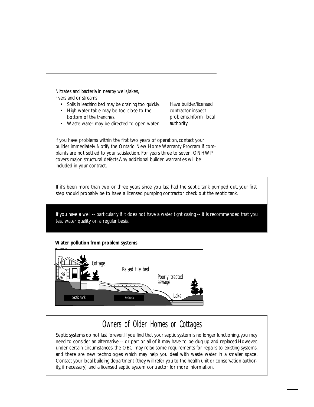Nitrates and bacteria in nearby wells, lakes, rivers and or streams

- Soils in leaching bed may be draining too quickly.
- High water table may be too close to the bottom of the trenches.
- Waste water may be directed to open water.

Have builder/licensed contractor inspect problems.Inform local authority

If you have problems within the first two years of operation, contact your builder immediately. Notify the Ontario New Home Warranty Program if complaints are not settled to your satisfaction. For years three to seven, ONHWP covers major structural defects.Any additional builder warranties will be included in your contract.

If it's been more than two or three years since you last had the septic tank pumped out, your first step should probably be to have a licensed pumping contractor check out the septic tank.

If you have a well -- particularly if it does not have a water tight casing -- it is recommended that you test water quality on a regular basis.

#### **Water pollution from problem systems**



### Owners of Older Homes or Cottages

Septic systems do not last forever. If you find that your septic system is no longer functioning, you may need to consider an alternative -- or part or all of it may have to be dug up and replaced.However, under certain circumstances, the OBC may relax some requirements for repairs to existing systems, and there are new technologies which may help you deal with waste water in a smaller space. Contact your local building department (they will refer you to the health unit or conservation authority, if necessary) and a licensed septic system contractor for more information.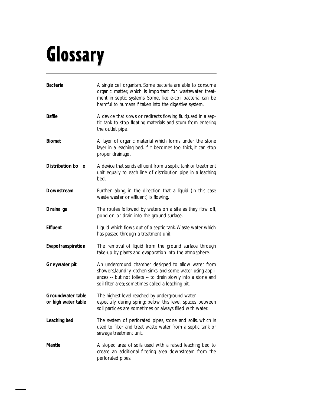# Glossary

| <b>Bacteria</b>                              | A single cell organism. Some bacteria are able to consume<br>organic matter, which is important for wastewater treat-<br>ment in septic systems. Some, like e-coli bacteria, can be<br>harmful to humans if taken into the digestive system. |
|----------------------------------------------|----------------------------------------------------------------------------------------------------------------------------------------------------------------------------------------------------------------------------------------------|
| <b>Baffle</b>                                | A device that slows or redirects flowing fluid; used in a sep-<br>tic tank to stop floating materials and scum from entering<br>the outlet pipe.                                                                                             |
| <b>Biomat</b>                                | A layer of organic material which forms under the stone<br>layer in a leaching bed. If it becomes too thick, it can stop<br>proper drainage.                                                                                                 |
| Distribution bo<br>$\boldsymbol{\mathsf{X}}$ | A device that sends effluent from a septic tank or treatment<br>unit equally to each line of distribution pipe in a leaching<br>bed.                                                                                                         |
| Downstream                                   | Further along, in the direction that a liquid (in this case<br>waste waster or effluent) is flowing.                                                                                                                                         |
| Draina ge                                    | The routes followed by waters on a site as they flow off,<br>pond on, or drain into the ground surface.                                                                                                                                      |
| Effluent                                     | Liquid which flows out of a septic tank. Waste water which<br>has passed through a treatment unit.                                                                                                                                           |
| Evapotranspiration                           | The removal of liquid from the ground surface through<br>take-up by plants and evaporation into the atmosphere.                                                                                                                              |
| Greywater pit                                | An underground chamber designed to allow water from<br>showers, laundry, kitchen sinks, and some water-using appli-<br>ances -- but not toilets -- to drain slowly into a stone and<br>soil filter area; sometimes called a leaching pit.    |
| Groundwater table<br>or high water table     | The highest level reached by underground water,<br>especially during spring; below this level, spaces between<br>soil particles are sometimes or always filled with water.                                                                   |
| Leaching bed                                 | The system of perforated pipes, stone and soils, which is<br>used to filter and treat waste water from a septic tank or<br>sewage treatment unit.                                                                                            |
| Mantle                                       | A sloped area of soils used with a raised leaching bed to<br>create an additional filtering area downstream from the<br>perforated pipes.                                                                                                    |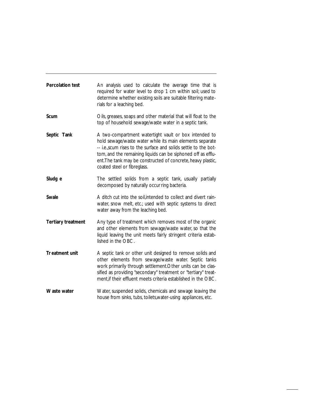| Percolation test   | An analysis used to calculate the average time that is<br>required for water level to drop 1 cm within soil; used to<br>determine whether existing soils are suitable filtering mate-<br>rials for a leaching bed.                                                                                                                                   |
|--------------------|------------------------------------------------------------------------------------------------------------------------------------------------------------------------------------------------------------------------------------------------------------------------------------------------------------------------------------------------------|
| Scum               | Oils, greases, soaps and other material that will float to the<br>top of household sewage/waste water in a septic tank.                                                                                                                                                                                                                              |
| Septic Tank        | A two-compartment watertight vault or box intended to<br>hold sewage/waste water while its main elements separate<br>-- i.e., scum rises to the surface and solids settle to the bot-<br>tom, and the remaining liquids can be siphoned off as efflu-<br>ent. The tank may be constructed of concrete, heavy plastic,<br>coated steel or fibreglass. |
| Sludg e            | The settled solids from a septic tank, usually partially<br>decomposed by naturally occur ring bacteria.                                                                                                                                                                                                                                             |
| Swale              | A ditch cut into the soil, intended to collect and divert rain-<br>water, snow melt, etc.; used with septic systems to direct<br>water away from the leaching bed.                                                                                                                                                                                   |
| Tertiary treatment | Any type of treatment which removes most of the organic<br>and other elements from sewage/waste water, so that the<br>liquid leaving the unit meets fairly stringent criteria estab-<br>lished in the OBC.                                                                                                                                           |
| Tr eatment unit    | A septic tank or other unit designed to remove solids and<br>other elements from sewage/waste water. Septic tanks<br>work primarily through settlement. Other units can be clas-<br>sified as providing "secondary" treatment or "tertiary" treat-<br>ment, if their effluent meets criteria established in the OBC.                                 |
| Waste water        | Water, suspended solids, chemicals and sewage leaving the<br>house from sinks, tubs, toilets, water-using appliances, etc.                                                                                                                                                                                                                           |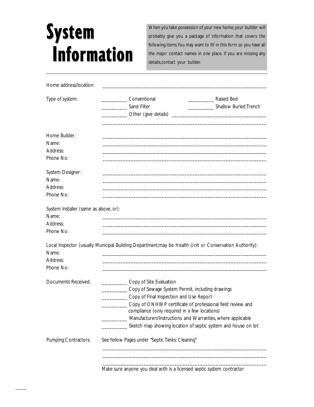### **System Information**

When you take possession of your new home, your builder will probably give you a package of information that covers the following items.You may want to fill in this form so you have all the major contact names in one place. If you are missing any details,contact your builder.

| Home address/location:                                                  |                                                                                                                                                                                                                                                                                                      |                                                                                                    |
|-------------------------------------------------------------------------|------------------------------------------------------------------------------------------------------------------------------------------------------------------------------------------------------------------------------------------------------------------------------------------------------|----------------------------------------------------------------------------------------------------|
| Type of system:                                                         | Conventional<br>Sand Filter<br>Other (give details)                                                                                                                                                                                                                                                  | Raised Bed<br>Shallow Buried Trench<br>the control of the control of the control of the control of |
| Home Builder:<br>Name:<br>Address:<br>Phone No:                         |                                                                                                                                                                                                                                                                                                      |                                                                                                    |
| System Designer:<br>Name:<br>Address:<br>Phone No:                      |                                                                                                                                                                                                                                                                                                      |                                                                                                    |
| System Installer (same as above, or):<br>Name:<br>Address:<br>Phone No: |                                                                                                                                                                                                                                                                                                      |                                                                                                    |
| Name:<br>Address:<br>Phone No:                                          | Local Inspector (usually Municipal Building Department; may be Health Unit or Conservation Authority):                                                                                                                                                                                               |                                                                                                    |
| Documents Received:                                                     | Copy of Site Evaluation<br>Copy of Sewage System Permit, including drawings<br>Copy of Final Inspection and Use Report<br>Copy of ONHWP certificate of professional field review and<br>compliance (only required in a few locations)<br>Manufacturers'Instructions and Warranties, where applicable | Sketch map showing location of septic system and house on lot                                      |
| Pumping Contractors:                                                    | See Yellow Pages under "Septic Tanks: Cleaning"                                                                                                                                                                                                                                                      |                                                                                                    |

Make sure anyone you deal with is a licensed septic system contractor

\_\_\_\_\_\_\_\_\_\_\_\_\_\_\_\_\_\_\_\_\_\_\_\_\_\_\_\_\_\_\_\_\_\_\_\_\_\_\_\_\_\_\_\_\_\_\_\_\_\_\_\_\_\_\_\_\_\_\_\_\_\_\_\_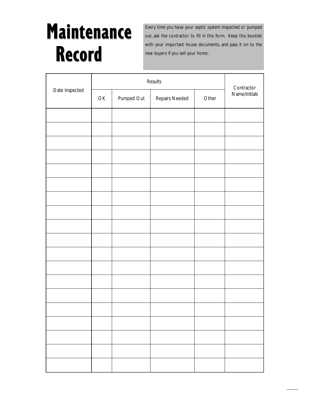### **Maintenance Record**

Every time you have your septic system inspected or pumped out, ask the contractor to fill in this form. Keep this booklet with your important house documents, and pass it on to the new buyers if you sell your home.

|                | Results                                                      |            |                |       | Contractor    |
|----------------|--------------------------------------------------------------|------------|----------------|-------|---------------|
| Date Inspected | $\mathsf{OK}% _{\mathsf{CL}}\times\mathsf{CN}_{\mathsf{CL}}$ | Pumped Out | Repairs Needed | Other | Name/Initials |
|                |                                                              |            |                |       |               |
|                |                                                              |            |                |       |               |
|                |                                                              |            |                |       |               |
|                |                                                              |            |                |       |               |
|                |                                                              |            |                |       |               |
|                |                                                              |            |                |       |               |
|                |                                                              |            |                |       |               |
|                |                                                              |            |                |       |               |
|                |                                                              |            |                |       |               |
|                |                                                              |            |                |       |               |
|                |                                                              |            |                |       |               |
|                |                                                              |            |                |       |               |
|                |                                                              |            |                |       |               |
|                |                                                              |            |                |       |               |
|                |                                                              |            |                |       |               |
|                |                                                              |            |                |       |               |
|                |                                                              |            |                |       |               |
|                |                                                              |            |                |       |               |
|                |                                                              |            |                |       |               |